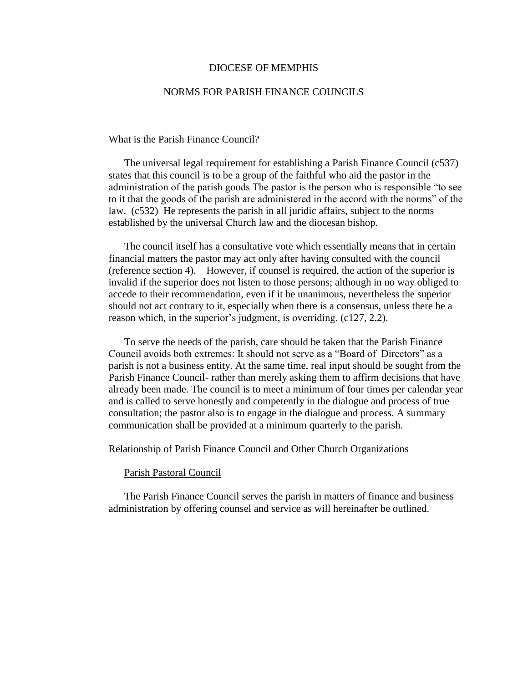# DIOCESE OF MEMPHIS

# NORMS FOR PARISH FINANCE COUNCILS

What is the Parish Finance Council?

The universal legal requirement for establishing a Parish Finance Council (c537) states that this council is to be a group of the faithful who aid the pastor in the administration of the parish goods The pastor is the person who is responsible "to see to it that the goods of the parish are administered in the accord with the norms" of the law. (c532) He represents the parish in all juridic affairs, subject to the norms established by the universal Church law and the diocesan bishop.

The council itself has a consultative vote which essentially means that in certain financial matters the pastor may act only after having consulted with the council (reference section 4). However, if counsel is required, the action of the superior is invalid if the superior does not listen to those persons; although in no way obliged to accede to their recommendation, even if it be unanimous, nevertheless the superior should not act contrary to it, especially when there is a consensus, unless there be a reason which, in the superior's judgment, is overriding. (c127, 2.2).

To serve the needs of the parish, care should be taken that the Parish Finance Council avoids both extremes: It should not serve as a "Board of Directors" as a parish is not a business entity. At the same time, real input should be sought from the Parish Finance Council- rather than merely asking them to affirm decisions that have already been made. The council is to meet a minimum of four times per calendar year and is called to serve honestly and competently in the dialogue and process of true consultation; the pastor also is to engage in the dialogue and process. A summary communication shall be provided at a minimum quarterly to the parish.

Relationship of Parish Finance Council and Other Church Organizations

## Parish Pastoral Council

The Parish Finance Council serves the parish in matters of finance and business administration by offering counsel and service as will hereinafter be outlined.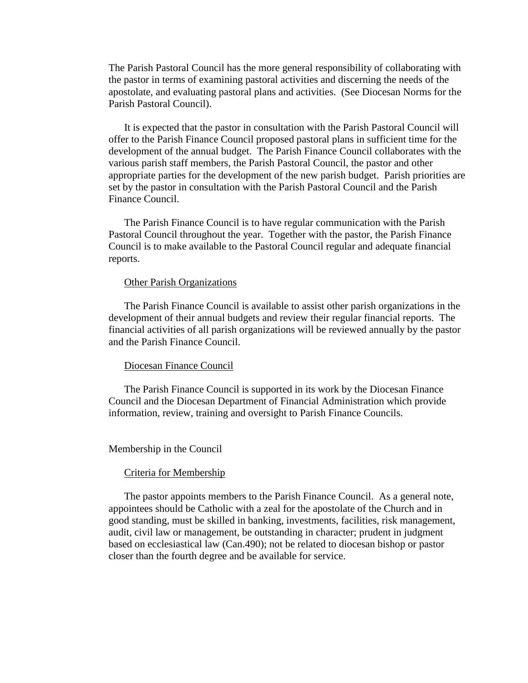The Parish Pastoral Council has the more general responsibility of collaborating with the pastor in terms of examining pastoral activities and discerning the needs of the apostolate, and evaluating pastoral plans and activities. (See Diocesan Norms for the Parish Pastoral Council).

 It is expected that the pastor in consultation with the Parish Pastoral Council will offer to the Parish Finance Council proposed pastoral plans in sufficient time for the development of the annual budget. The Parish Finance Council collaborates with the various parish staff members, the Parish Pastoral Council, the pastor and other appropriate parties for the development of the new parish budget. Parish priorities are set by the pastor in consultation with the Parish Pastoral Council and the Parish Finance Council.

 The Parish Finance Council is to have regular communication with the Parish Pastoral Council throughout the year. Together with the pastor, the Parish Finance Council is to make available to the Pastoral Council regular and adequate financial reports.

# Other Parish Organizations

 The Parish Finance Council is available to assist other parish organizations in the development of their annual budgets and review their regular financial reports. The financial activities of all parish organizations will be reviewed annually by the pastor and the Parish Finance Council.

# Diocesan Finance Council

 The Parish Finance Council is supported in its work by the Diocesan Finance Council and the Diocesan Department of Financial Administration which provide information, review, training and oversight to Parish Finance Councils.

#### Membership in the Council

#### Criteria for Membership

 The pastor appoints members to the Parish Finance Council. As a general note, appointees should be Catholic with a zeal for the apostolate of the Church and in good standing, must be skilled in banking, investments, facilities, risk management, audit, civil law or management, be outstanding in character; prudent in judgment based on ecclesiastical law (Can.490); not be related to diocesan bishop or pastor closer than the fourth degree and be available for service.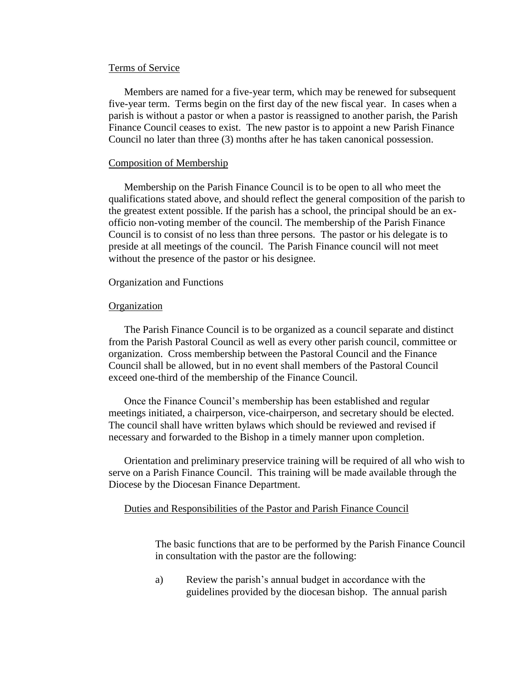### Terms of Service

 Members are named for a five-year term, which may be renewed for subsequent five-year term. Terms begin on the first day of the new fiscal year. In cases when a parish is without a pastor or when a pastor is reassigned to another parish, the Parish Finance Council ceases to exist. The new pastor is to appoint a new Parish Finance Council no later than three (3) months after he has taken canonical possession.

## Composition of Membership

Membership on the Parish Finance Council is to be open to all who meet the qualifications stated above, and should reflect the general composition of the parish to the greatest extent possible. If the parish has a school, the principal should be an exofficio non-voting member of the council. The membership of the Parish Finance Council is to consist of no less than three persons. The pastor or his delegate is to preside at all meetings of the council. The Parish Finance council will not meet without the presence of the pastor or his designee.

## Organization and Functions

#### **Organization**

 The Parish Finance Council is to be organized as a council separate and distinct from the Parish Pastoral Council as well as every other parish council, committee or organization. Cross membership between the Pastoral Council and the Finance Council shall be allowed, but in no event shall members of the Pastoral Council exceed one-third of the membership of the Finance Council.

Once the Finance Council's membership has been established and regular meetings initiated, a chairperson, vice-chairperson, and secretary should be elected. The council shall have written bylaws which should be reviewed and revised if necessary and forwarded to the Bishop in a timely manner upon completion.

 Orientation and preliminary preservice training will be required of all who wish to serve on a Parish Finance Council. This training will be made available through the Diocese by the Diocesan Finance Department.

# Duties and Responsibilities of the Pastor and Parish Finance Council

The basic functions that are to be performed by the Parish Finance Council in consultation with the pastor are the following:

a) Review the parish's annual budget in accordance with the guidelines provided by the diocesan bishop. The annual parish